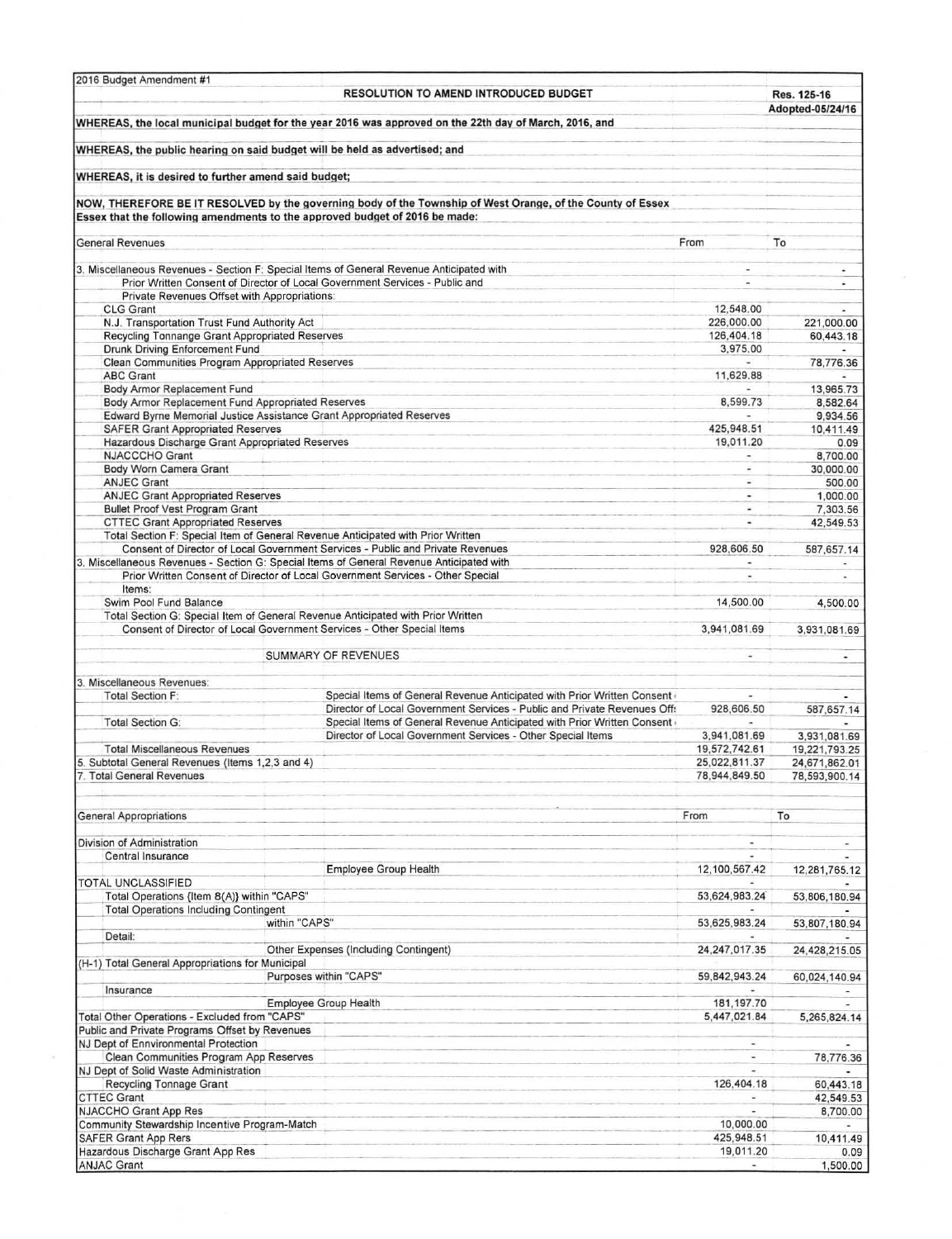| 2016 Budget Amendment #1                                                                                                  |               | <b>RESOLUTION TO AMEND INTRODUCED BUDGET</b>                                                               |                                | Res. 125-16<br>Adopted-05/24/16 |
|---------------------------------------------------------------------------------------------------------------------------|---------------|------------------------------------------------------------------------------------------------------------|--------------------------------|---------------------------------|
|                                                                                                                           |               | WHEREAS, the local municipal budget for the year 2016 was approved on the 22th day of March, 2016, and     |                                |                                 |
| WHEREAS, the public hearing on said budget will be held as advertised; and                                                |               |                                                                                                            |                                |                                 |
| WHEREAS, it is desired to further amend said budget;                                                                      |               |                                                                                                            |                                |                                 |
| Essex that the following amendments to the approved budget of 2016 be made:                                               |               | NOW, THEREFORE BE IT RESOLVED by the governing body of the Township of West Orange, of the County of Essex |                                |                                 |
| <b>General Revenues</b>                                                                                                   |               |                                                                                                            | From                           | To                              |
|                                                                                                                           |               |                                                                                                            | $\blacksquare$                 |                                 |
| 3. Miscellaneous Revenues - Section F: Special Items of General Revenue Anticipated with                                  |               | Prior Written Consent of Director of Local Government Services - Public and                                | $\blacksquare$                 | ٠<br>×                          |
| Private Revenues Offset with Appropriations:                                                                              |               |                                                                                                            |                                |                                 |
| <b>CLG Grant</b>                                                                                                          |               |                                                                                                            | 12,548.00<br>226,000.00        | ٠                               |
| N.J. Transportation Trust Fund Authority Act<br>Recycling Tonnange Grant Appropriated Reserves                            |               |                                                                                                            |                                | 221,000.00                      |
| Drunk Driving Enforcement Fund                                                                                            |               |                                                                                                            |                                | 60,443.18                       |
| Clean Communities Program Appropriated Reserves                                                                           |               |                                                                                                            | 3,975.00                       | 78,776.36                       |
| <b>ABC Grant</b>                                                                                                          |               |                                                                                                            | 11,629.88                      |                                 |
| Body Armor Replacement Fund                                                                                               |               |                                                                                                            |                                | 13,965.73                       |
| Body Armor Replacement Fund Appropriated Reserves<br>Edward Byrne Memorial Justice Assistance Grant Appropriated Reserves |               |                                                                                                            | 8,599.73                       | 8,582.64<br>9,934.56            |
| <b>SAFER Grant Appropriated Reserves</b>                                                                                  |               |                                                                                                            | 425,948.51                     | 10,411.49                       |
| Hazardous Discharge Grant Appropriated Reserves                                                                           |               |                                                                                                            | 19,011.20                      | 0.09                            |
| <b>NJACCCHO Grant</b>                                                                                                     |               |                                                                                                            |                                | 8,700.00                        |
| Body Worn Camera Grant                                                                                                    |               |                                                                                                            |                                | 30,000.00                       |
| <b>ANJEC Grant</b><br><b>ANJEC Grant Appropriated Reserves</b>                                                            |               |                                                                                                            |                                | 500.00<br>1,000.00              |
| <b>Bullet Proof Vest Program Grant</b>                                                                                    |               |                                                                                                            | W.                             | 7,303.56                        |
| <b>CTTEC Grant Appropriated Reserves</b>                                                                                  |               |                                                                                                            |                                | 42,549.53                       |
| Total Section F: Special Item of General Revenue Anticipated with Prior Written                                           |               |                                                                                                            |                                |                                 |
|                                                                                                                           |               | Consent of Director of Local Government Services - Public and Private Revenues                             | 928,606.50                     | 587,657.14                      |
|                                                                                                                           |               | 3. Miscellaneous Revenues - Section G: Special Items of General Revenue Anticipated with                   |                                |                                 |
| Items:                                                                                                                    |               | Prior Written Consent of Director of Local Government Services - Other Special                             |                                | $\blacksquare$                  |
| Swim Pool Fund Balance                                                                                                    |               |                                                                                                            | 14,500.00                      | 4,500.00                        |
|                                                                                                                           |               | Total Section G: Special Item of General Revenue Anticipated with Prior Written                            |                                |                                 |
|                                                                                                                           |               | Consent of Director of Local Government Services - Other Special Items                                     | 3,941,081.69                   | 3,931,081.69                    |
|                                                                                                                           |               |                                                                                                            |                                |                                 |
|                                                                                                                           |               | <b>SUMMARY OF REVENUES</b>                                                                                 | $\omega$                       |                                 |
| 3. Miscellaneous Revenues:                                                                                                |               |                                                                                                            |                                |                                 |
| <b>Total Section F:</b>                                                                                                   |               | Special Items of General Revenue Anticipated with Prior Written Consent (                                  |                                |                                 |
|                                                                                                                           |               | Director of Local Government Services - Public and Private Revenues Off:                                   | 928,606.50                     | 587,657.14                      |
| <b>Total Section G:</b>                                                                                                   |               | Special Items of General Revenue Anticipated with Prior Written Consent                                    |                                |                                 |
|                                                                                                                           |               | Director of Local Government Services - Other Special Items                                                | 3,941,081.69                   | 3,931,081.69                    |
| <b>Total Miscellaneous Revenues</b><br>5. Subtotal General Revenues (Items 1,2,3 and 4)                                   |               | 19,572,742.61<br>25,022,811.37                                                                             | 19,221,793.25<br>24,671,862.01 |                                 |
| 7. Total General Revenues                                                                                                 |               |                                                                                                            | 78,944,849.50                  | 78,593,900.14                   |
|                                                                                                                           |               |                                                                                                            |                                |                                 |
|                                                                                                                           |               |                                                                                                            |                                |                                 |
| <b>General Appropriations</b>                                                                                             |               |                                                                                                            | From                           | To                              |
| Division of Administration                                                                                                |               |                                                                                                            |                                |                                 |
| Central Insurance                                                                                                         |               |                                                                                                            |                                |                                 |
|                                                                                                                           |               | <b>Employee Group Health</b>                                                                               | 12,100,567.42                  | 12,281,765.12                   |
| <b>TOTAL UNCLASSIFIED</b>                                                                                                 |               |                                                                                                            |                                |                                 |
| Total Operations {Item 8(A)} within "CAPS"                                                                                |               |                                                                                                            | 53,624,983.24                  | 53,806,180.94                   |
| <b>Total Operations Including Contingent</b>                                                                              | within "CAPS" |                                                                                                            | 53,625,983.24                  | 53,807,180.94                   |
| Detail:                                                                                                                   |               |                                                                                                            |                                |                                 |
|                                                                                                                           |               | Other Expenses (Including Contingent)                                                                      | 24, 247, 017.35                | 24,428,215.05                   |
| (H-1) Total General Appropriations for Municipal                                                                          |               |                                                                                                            |                                |                                 |
|                                                                                                                           |               | Purposes within "CAPS"                                                                                     | 59,842,943.24                  | 60,024,140.94                   |
| Insurance                                                                                                                 |               | <b>Employee Group Health</b>                                                                               | 181, 197.70                    |                                 |
| Total Other Operations - Excluded from "CAPS"                                                                             |               |                                                                                                            | 5,447,021.84                   | 5,265,824.14                    |
| Public and Private Programs Offset by Revenues                                                                            |               |                                                                                                            |                                |                                 |
| NJ Dept of Ennvironmental Protection                                                                                      |               |                                                                                                            |                                |                                 |
| Clean Communities Program App Reserves                                                                                    |               |                                                                                                            |                                | 78,776.36                       |
| NJ Dept of Solid Waste Administration                                                                                     |               |                                                                                                            |                                |                                 |
| <b>Recycling Tonnage Grant</b><br><b>CTTEC Grant</b>                                                                      |               |                                                                                                            | 126,404.18                     | 60,443.18<br>42,549.53          |
| NJACCHO Grant App Res                                                                                                     |               |                                                                                                            |                                | 8,700.00                        |
| Community Stewardship Incentive Program-Match                                                                             |               |                                                                                                            | 10,000.00                      |                                 |
| <b>SAFER Grant App Rers</b>                                                                                               |               |                                                                                                            | 425,948.51                     | 10,411.49                       |
| Hazardous Discharge Grant App Res                                                                                         |               |                                                                                                            | 19,011.20                      | 0.09                            |
| <b>ANJAC Grant</b>                                                                                                        |               |                                                                                                            |                                | 1,500.00                        |